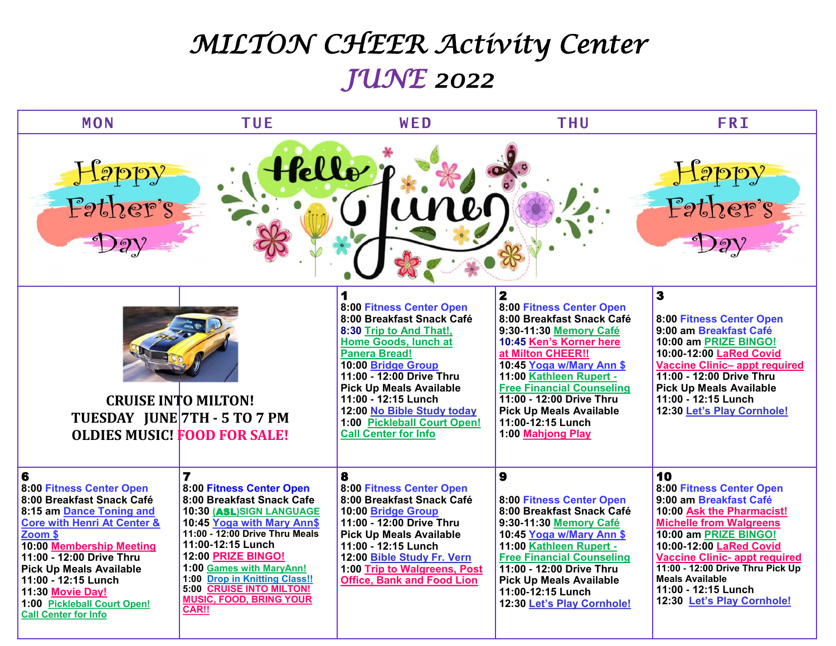## *MILTON CHEER Activity Center JUNE 2022*

| <b>MON</b>                                                                                                                                                                                                                                                                                                                                     | <b>TUE</b>                                                                                                                                                                                                                                                                                                                                         | WED                                                                                                                                                                                                                                                                                                                                                 | <b>THU</b>                                                                                                                                                                                                                                                                                                                                         | <b>FRI</b>                                                                                                                                                                                                                                                                                                                             |  |  |  |
|------------------------------------------------------------------------------------------------------------------------------------------------------------------------------------------------------------------------------------------------------------------------------------------------------------------------------------------------|----------------------------------------------------------------------------------------------------------------------------------------------------------------------------------------------------------------------------------------------------------------------------------------------------------------------------------------------------|-----------------------------------------------------------------------------------------------------------------------------------------------------------------------------------------------------------------------------------------------------------------------------------------------------------------------------------------------------|----------------------------------------------------------------------------------------------------------------------------------------------------------------------------------------------------------------------------------------------------------------------------------------------------------------------------------------------------|----------------------------------------------------------------------------------------------------------------------------------------------------------------------------------------------------------------------------------------------------------------------------------------------------------------------------------------|--|--|--|
| fello :<br>Happy<br>Father's<br>Happy<br>Father's<br>Day<br>Day                                                                                                                                                                                                                                                                                |                                                                                                                                                                                                                                                                                                                                                    |                                                                                                                                                                                                                                                                                                                                                     |                                                                                                                                                                                                                                                                                                                                                    |                                                                                                                                                                                                                                                                                                                                        |  |  |  |
| <b>CRUISE INTO MILTON!</b><br>TUESDAY JUNE 7TH - 5 TO 7 PM<br><b>OLDIES MUSIC! FOOD FOR SALE!</b>                                                                                                                                                                                                                                              |                                                                                                                                                                                                                                                                                                                                                    | 1<br>8:00 Fitness Center Open<br>8:00 Breakfast Snack Café<br>8:30 Trip to And That!,<br><b>Home Goods, lunch at</b><br><b>Panera Bread!</b><br>10:00 Bridge Group<br>11:00 - 12:00 Drive Thru<br><b>Pick Up Meals Available</b><br>11:00 - 12:15 Lunch<br>12:00 No Bible Study today<br>1:00 Pickleball Court Open!<br><b>Call Center for Info</b> | $\mathbf{2}$<br>8:00 Fitness Center Open<br>8:00 Breakfast Snack Café<br>9:30-11:30 Memory Café<br>10:45 Ken's Korner here<br>at Milton CHEER!!<br>10:45 Yoga w/Mary Ann \$<br>11:00 Kathleen Rupert -<br><b>Free Financial Counseling</b><br>11:00 - 12:00 Drive Thru<br><b>Pick Up Meals Available</b><br>11:00-12:15 Lunch<br>1:00 Mahjong Play | $\overline{\mathbf{3}}$<br>8:00 Fitness Center Open<br>9:00 am Breakfast Café<br>10:00 am PRIZE BINGO!<br>10:00-12:00 LaRed Covid<br><b>Vaccine Clinic- appt required</b><br>11:00 - 12:00 Drive Thru<br><b>Pick Up Meals Available</b><br>11:00 - 12:15 Lunch<br>12:30 Let's Play Cornhole!                                           |  |  |  |
| 6<br>8:00 Fitness Center Open<br>8:00 Breakfast Snack Café<br>8:15 am Dance Toning and<br><b>Core with Henri At Center &amp;</b><br>Zoom \$<br>10:00 Membership Meeting<br>11:00 - 12:00 Drive Thru<br><b>Pick Up Meals Available</b><br>11:00 - 12:15 Lunch<br>11:30 Movie Day!<br>1:00 Pickleball Court Open!<br><b>Call Center for Info</b> | $\overline{7}$<br>8:00 Fitness Center Open<br>8:00 Breakfast Snack Cafe<br>10:30 (ASL)SIGN LANGUAGE<br>10:45 Yoga with Mary Ann\$<br>11:00 - 12:00 Drive Thru Meals<br>11:00-12:15 Lunch<br>12:00 PRIZE BINGO!<br>1:00 Games with MaryAnn!<br>1:00 Drop in Knitting Class!!<br>5:00 CRUISE INTO MILTON!<br><b>MUSIC, FOOD, BRING YOUR</b><br>CAR!! | 8<br>8:00 Fitness Center Open<br>8:00 Breakfast Snack Café<br>10:00 Bridge Group<br>11:00 - 12:00 Drive Thru<br><b>Pick Up Meals Available</b><br>11:00 - 12:15 Lunch<br>12:00 Bible Study Fr. Vern<br>1:00 Trip to Walgreens, Post<br><b>Office, Bank and Food Lion</b>                                                                            | $\mathbf{9}$<br>8:00 Fitness Center Open<br>8:00 Breakfast Snack Café<br>9:30-11:30 Memory Café<br>10:45 Yoga w/Mary Ann \$<br>11:00 Kathleen Rupert -<br><b>Free Financial Counseling</b><br>11:00 - 12:00 Drive Thru<br><b>Pick Up Meals Available</b><br>11:00-12:15 Lunch<br>12:30 Let's Play Cornhole!                                        | 10<br>8:00 Fitness Center Open<br>9:00 am Breakfast Café<br>10:00 Ask the Pharmacist!<br><b>Michelle from Walgreens</b><br>10:00 am PRIZE BINGO!<br>10:00-12:00 LaRed Covid<br><b>Vaccine Clinic- appt required</b><br>11:00 - 12:00 Drive Thru Pick Up<br><b>Meals Available</b><br>11:00 - 12:15 Lunch<br>12:30 Let's Play Cornhole! |  |  |  |